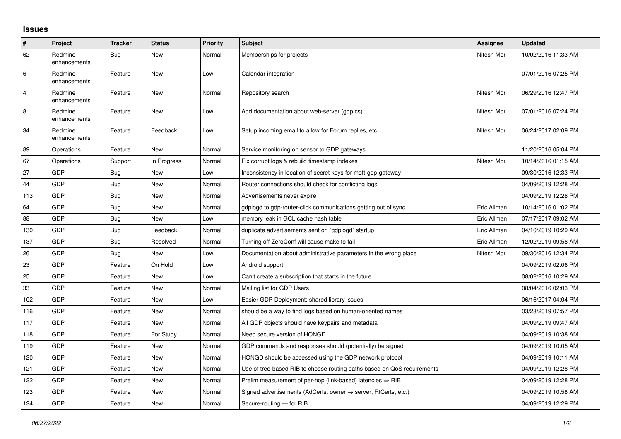## **Issues**

| #              | Project                 | <b>Tracker</b> | <b>Status</b> | <b>Priority</b> | <b>Subject</b>                                                             | Assignee    | <b>Updated</b>      |
|----------------|-------------------------|----------------|---------------|-----------------|----------------------------------------------------------------------------|-------------|---------------------|
| 62             | Redmine<br>enhancements | <b>Bug</b>     | New           | Normal          | Memberships for projects                                                   | Nitesh Mor  | 10/02/2016 11:33 AM |
| 6              | Redmine<br>enhancements | Feature        | <b>New</b>    | Low             | Calendar integration                                                       |             | 07/01/2016 07:25 PM |
| $\overline{4}$ | Redmine<br>enhancements | Feature        | <b>New</b>    | Normal          | Repository search                                                          | Nitesh Mor  | 06/29/2016 12:47 PM |
| 8              | Redmine<br>enhancements | Feature        | <b>New</b>    | Low             | Add documentation about web-server (gdp.cs)                                | Nitesh Mor  | 07/01/2016 07:24 PM |
| 34             | Redmine<br>enhancements | Feature        | Feedback      | Low             | Setup incoming email to allow for Forum replies, etc.                      | Nitesh Mor  | 06/24/2017 02:09 PM |
| 89             | Operations              | Feature        | <b>New</b>    | Normal          | Service monitoring on sensor to GDP gateways                               |             | 11/20/2016 05:04 PM |
| 67             | Operations              | Support        | In Progress   | Normal          | Fix corrupt logs & rebuild timestamp indexes                               | Nitesh Mor  | 10/14/2016 01:15 AM |
| 27             | <b>GDP</b>              | Bug            | New           | Low             | Inconsistency in location of secret keys for mgtt-gdp-gateway              |             | 09/30/2016 12:33 PM |
| 44             | GDP                     | <b>Bug</b>     | <b>New</b>    | Normal          | Router connections should check for conflicting logs                       |             | 04/09/2019 12:28 PM |
| 113            | GDP                     | Bug            | <b>New</b>    | Normal          | Advertisements never expire                                                |             | 04/09/2019 12:28 PM |
| 64             | <b>GDP</b>              | Bug            | <b>New</b>    | Normal          | gdplogd to gdp-router-click communications getting out of sync             | Eric Allman | 10/14/2016 01:02 PM |
| 88             | GDP                     | Bug            | <b>New</b>    | Low             | memory leak in GCL cache hash table                                        | Eric Allman | 07/17/2017 09:02 AM |
| 130            | GDP                     | Bug            | Feedback      | Normal          | duplicate advertisements sent on `gdplogd` startup                         | Eric Allman | 04/10/2019 10:29 AM |
| 137            | GDP                     | <b>Bug</b>     | Resolved      | Normal          | Turning off ZeroConf will cause make to fail                               | Eric Allman | 12/02/2019 09:58 AM |
| 26             | GDP                     | Bug            | <b>New</b>    | Low             | Documentation about administrative parameters in the wrong place           | Nitesh Mor  | 09/30/2016 12:34 PM |
| 23             | GDP                     | Feature        | On Hold       | Low             | Android support                                                            |             | 04/09/2019 02:06 PM |
| 25             | GDP                     | Feature        | <b>New</b>    | Low             | Can't create a subscription that starts in the future                      |             | 08/02/2016 10:29 AM |
| 33             | GDP                     | Feature        | <b>New</b>    | Normal          | Mailing list for GDP Users                                                 |             | 08/04/2016 02:03 PM |
| 102            | GDP                     | Feature        | <b>New</b>    | Low             | Easier GDP Deployment: shared library issues                               |             | 06/16/2017 04:04 PM |
| 116            | GDP                     | Feature        | New           | Normal          | should be a way to find logs based on human-oriented names                 |             | 03/28/2019 07:57 PM |
| 117            | GDP                     | Feature        | <b>New</b>    | Normal          | All GDP objects should have keypairs and metadata                          |             | 04/09/2019 09:47 AM |
| 118            | GDP                     | Feature        | For Study     | Normal          | Need secure version of HONGD                                               |             | 04/09/2019 10:38 AM |
| 119            | GDP                     | Feature        | <b>New</b>    | Normal          | GDP commands and responses should (potentially) be signed                  |             | 04/09/2019 10:05 AM |
| 120            | GDP                     | Feature        | <b>New</b>    | Normal          | HONGD should be accessed using the GDP network protocol                    |             | 04/09/2019 10:11 AM |
| 121            | GDP                     | Feature        | New           | Normal          | Use of tree-based RIB to choose routing paths based on QoS requirements    |             | 04/09/2019 12:28 PM |
| 122            | GDP                     | Feature        | <b>New</b>    | Normal          | Prelim measurement of per-hop (link-based) latencies $\Rightarrow$ RIB     |             | 04/09/2019 12:28 PM |
| 123            | GDP                     | Feature        | <b>New</b>    | Normal          | Signed advertisements (AdCerts: owner $\rightarrow$ server, RtCerts, etc.) |             | 04/09/2019 10:58 AM |
| 124            | GDP                     | Feature        | <b>New</b>    | Normal          | Secure-routing - for RIB                                                   |             | 04/09/2019 12:29 PM |